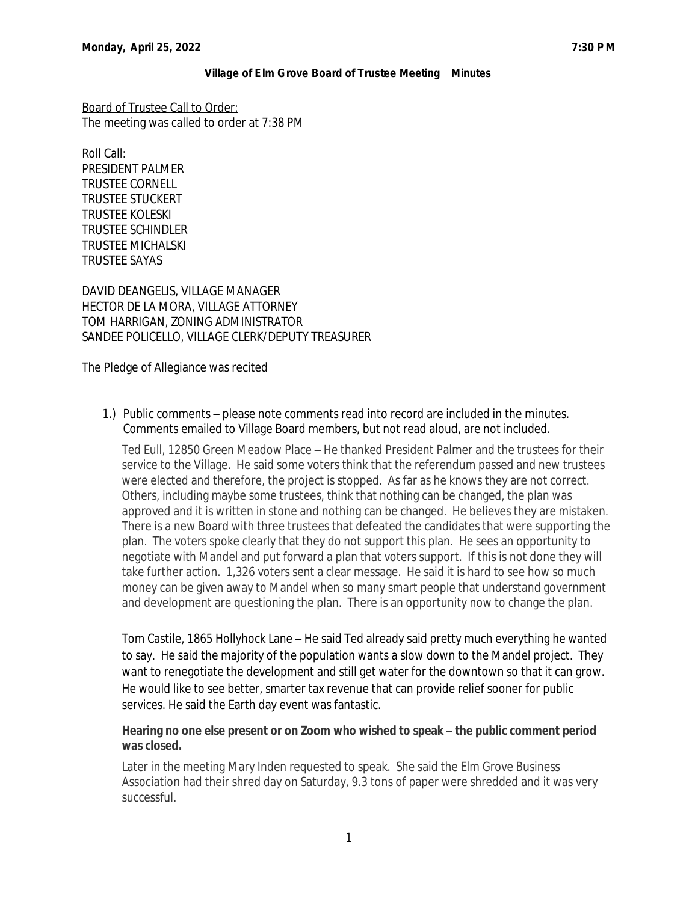Board of Trustee Call to Order: The meeting was called to order at 7:38 PM

Roll Call: PRESIDENT PALMER TRUSTEE CORNELL TRUSTEE STUCKERT TRUSTEE KOLESKI TRUSTEE SCHINDLER TRUSTEE MICHALSKI TRUSTEE SAYAS

DAVID DEANGELIS, VILLAGE MANAGER HECTOR DE LA MORA, VILLAGE ATTORNEY TOM HARRIGAN, ZONING ADMINISTRATOR SANDEE POLICELLO, VILLAGE CLERK/DEPUTY TREASURER

The Pledge of Allegiance was recited

1.) Public comments - please note comments read into record are included in the minutes. Comments emailed to Village Board members, but not read aloud, are not included.

Ted Eull, 12850 Green Meadow Place – He thanked President Palmer and the trustees for their service to the Village. He said some voters think that the referendum passed and new trustees were elected and therefore, the project is stopped. As far as he knows they are not correct. Others, including maybe some trustees, think that nothing can be changed, the plan was approved and it is written in stone and nothing can be changed. He believes they are mistaken. There is a new Board with three trustees that defeated the candidates that were supporting the plan. The voters spoke clearly that they do not support this plan. He sees an opportunity to negotiate with Mandel and put forward a plan that voters support. If this is not done they will take further action. 1,326 voters sent a clear message. He said it is hard to see how so much money can be given away to Mandel when so many smart people that understand government and development are questioning the plan. There is an opportunity now to change the plan.

Tom Castile, 1865 Hollyhock Lane – He said Ted already said pretty much everything he wanted to say. He said the majority of the population wants a slow down to the Mandel project. They want to renegotiate the development and still get water for the downtown so that it can grow. He would like to see better, smarter tax revenue that can provide relief sooner for public services. He said the Earth day event was fantastic.

# **Hearing no one else present or on Zoom who wished to speak – the public comment period was closed.**

Later in the meeting Mary Inden requested to speak. She said the Elm Grove Business Association had their shred day on Saturday, 9.3 tons of paper were shredded and it was very successful.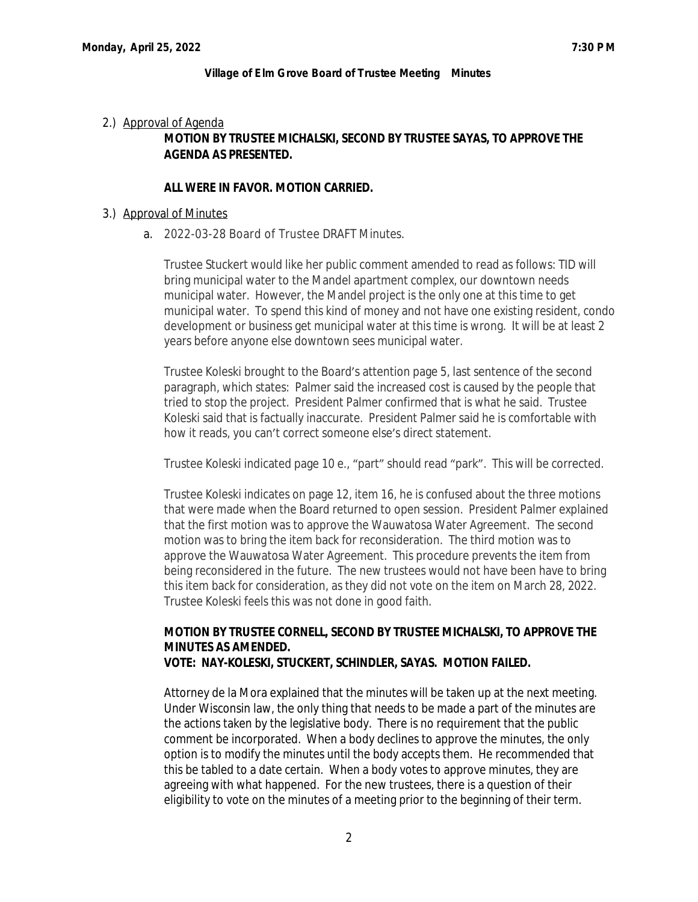### 2.) Approval of Agenda

# **MOTION BY TRUSTEE MICHALSKI, SECOND BY TRUSTEE SAYAS, TO APPROVE THE AGENDA AS PRESENTED.**

## **ALL WERE IN FAVOR. MOTION CARRIED.**

### 3.) Approval of Minutes

a. 2022-03-28 Board of Trustee DRAFT Minutes.

Trustee Stuckert would like her public comment amended to read as follows: TID will bring municipal water to the Mandel apartment complex, our downtown needs municipal water. However, the Mandel project is the only one at this time to get municipal water. To spend this kind of money and not have one existing resident, condo development or business get municipal water at this time is wrong. It will be at least 2 years before anyone else downtown sees municipal water.

Trustee Koleski brought to the Board's attention page 5, last sentence of the second paragraph, which states: Palmer said the increased cost is caused by the people that tried to stop the project. President Palmer confirmed that is what he said. Trustee Koleski said that is factually inaccurate. President Palmer said he is comfortable with how it reads, you can't correct someone else's direct statement.

Trustee Koleski indicated page 10 e., "part" should read "park". This will be corrected.

Trustee Koleski indicates on page 12, item 16, he is confused about the three motions that were made when the Board returned to open session. President Palmer explained that the first motion was to approve the Wauwatosa Water Agreement. The second motion was to bring the item back for reconsideration. The third motion was to approve the Wauwatosa Water Agreement. This procedure prevents the item from being reconsidered in the future. The new trustees would not have been have to bring this item back for consideration, as they did not vote on the item on March 28, 2022. Trustee Koleski feels this was not done in good faith.

## **MOTION BY TRUSTEE CORNELL, SECOND BY TRUSTEE MICHALSKI, TO APPROVE THE MINUTES AS AMENDED. VOTE: NAY-KOLESKI, STUCKERT, SCHINDLER, SAYAS. MOTION FAILED.**

Attorney de la Mora explained that the minutes will be taken up at the next meeting. Under Wisconsin law, the only thing that needs to be made a part of the minutes are the actions taken by the legislative body. There is no requirement that the public comment be incorporated. When a body declines to approve the minutes, the only option is to modify the minutes until the body accepts them. He recommended that this be tabled to a date certain. When a body votes to approve minutes, they are agreeing with what happened. For the new trustees, there is a question of their eligibility to vote on the minutes of a meeting prior to the beginning of their term.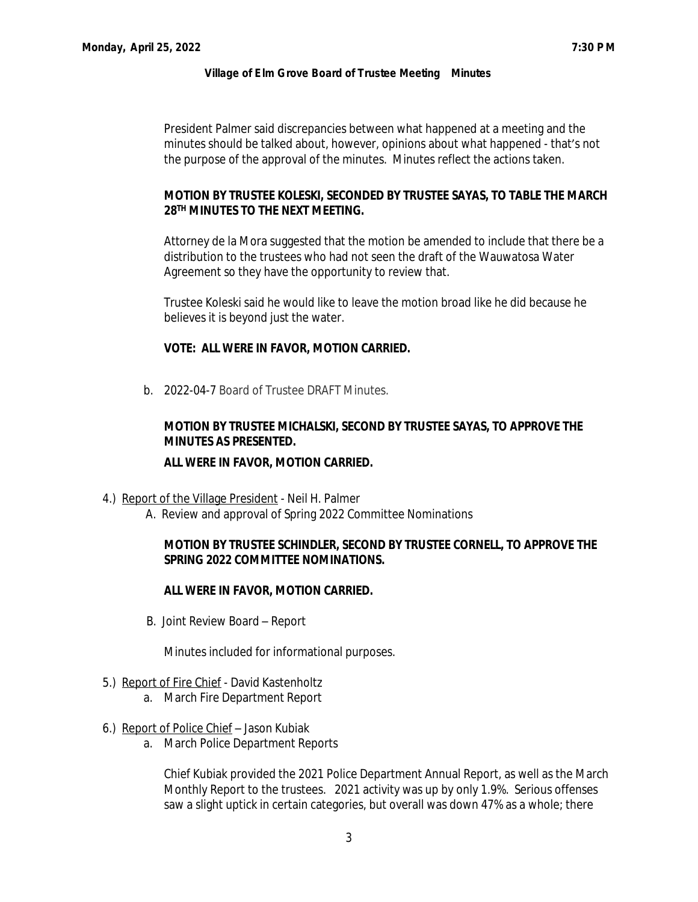President Palmer said discrepancies between what happened at a meeting and the minutes should be talked about, however, opinions about what happened - that's not the purpose of the approval of the minutes. Minutes reflect the actions taken.

## **MOTION BY TRUSTEE KOLESKI, SECONDED BY TRUSTEE SAYAS, TO TABLE THE MARCH 28TH MINUTES TO THE NEXT MEETING.**

Attorney de la Mora suggested that the motion be amended to include that there be a distribution to the trustees who had not seen the draft of the Wauwatosa Water Agreement so they have the opportunity to review that.

Trustee Koleski said he would like to leave the motion broad like he did because he believes it is beyond just the water.

## **VOTE: ALL WERE IN FAVOR, MOTION CARRIED.**

b. 2022-04-7 Board of Trustee DRAFT Minutes.

# **MOTION BY TRUSTEE MICHALSKI, SECOND BY TRUSTEE SAYAS, TO APPROVE THE MINUTES AS PRESENTED.**

## **ALL WERE IN FAVOR, MOTION CARRIED.**

- 4.) Report of the Village President Neil H. Palmer
	- A. Review and approval of Spring 2022 Committee Nominations

## **MOTION BY TRUSTEE SCHINDLER, SECOND BY TRUSTEE CORNELL, TO APPROVE THE SPRING 2022 COMMITTEE NOMINATIONS.**

## **ALL WERE IN FAVOR, MOTION CARRIED.**

B. Joint Review Board – Report

Minutes included for informational purposes.

### 5.) Report of Fire Chief - David Kastenholtz

- a. March Fire Department Report
- 6.) Report of Police Chief Jason Kubiak
	- a. March Police Department Reports

Chief Kubiak provided the 2021 Police Department Annual Report, as well as the March Monthly Report to the trustees. 2021 activity was up by only 1.9%. Serious offenses saw a slight uptick in certain categories, but overall was down 47% as a whole; there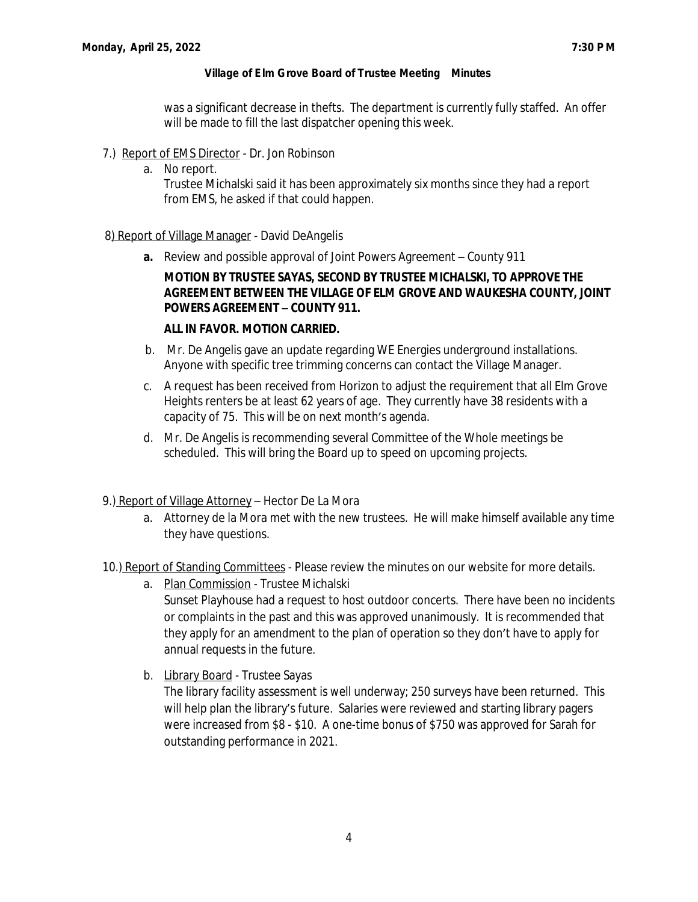was a significant decrease in thefts. The department is currently fully staffed. An offer will be made to fill the last dispatcher opening this week.

- 7.) Report of EMS Director Dr. Jon Robinson
	- a. No report.

Trustee Michalski said it has been approximately six months since they had a report from EMS, he asked if that could happen.

## 8) Report of Village Manager - David DeAngelis

**a.** Review and possible approval of Joint Powers Agreement – County 911

# **MOTION BY TRUSTEE SAYAS, SECOND BY TRUSTEE MICHALSKI, TO APPROVE THE AGREEMENT BETWEEN THE VILLAGE OF ELM GROVE AND WAUKESHA COUNTY, JOINT POWERS AGREEMENT – COUNTY 911.**

# **ALL IN FAVOR. MOTION CARRIED.**

- b. Mr. De Angelis gave an update regarding WE Energies underground installations. Anyone with specific tree trimming concerns can contact the Village Manager.
- c. A request has been received from Horizon to adjust the requirement that all Elm Grove Heights renters be at least 62 years of age. They currently have 38 residents with a capacity of 75. This will be on next month's agenda.
- d. Mr. De Angelis is recommending several Committee of the Whole meetings be scheduled. This will bring the Board up to speed on upcoming projects.
- 9.) Report of Village Attorney Hector De La Mora
	- a. Attorney de la Mora met with the new trustees. He will make himself available any time they have questions.
- 10.) Report of Standing Committees Please review the minutes on our website for more details.
	- a. Plan Commission Trustee Michalski Sunset Playhouse had a request to host outdoor concerts. There have been no incidents or complaints in the past and this was approved unanimously. It is recommended that they apply for an amendment to the plan of operation so they don't have to apply for annual requests in the future.
	- b. Library Board Trustee Sayas

The library facility assessment is well underway; 250 surveys have been returned. This will help plan the library's future. Salaries were reviewed and starting library pagers were increased from \$8 - \$10. A one-time bonus of \$750 was approved for Sarah for outstanding performance in 2021.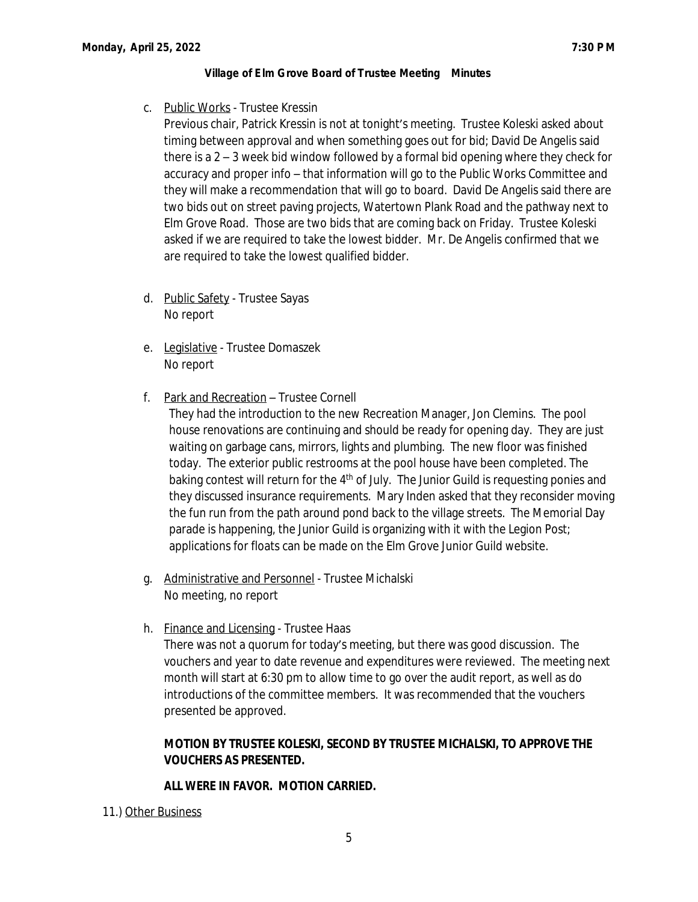c. Public Works - Trustee Kressin

Previous chair, Patrick Kressin is not at tonight's meeting. Trustee Koleski asked about timing between approval and when something goes out for bid; David De Angelis said there is a 2 – 3 week bid window followed by a formal bid opening where they check for accuracy and proper info – that information will go to the Public Works Committee and they will make a recommendation that will go to board. David De Angelis said there are two bids out on street paving projects, Watertown Plank Road and the pathway next to Elm Grove Road. Those are two bids that are coming back on Friday. Trustee Koleski asked if we are required to take the lowest bidder. Mr. De Angelis confirmed that we are required to take the lowest qualified bidder.

- d. Public Safety Trustee Sayas No report
- e. Legislative Trustee Domaszek No report
- f. Park and Recreation Trustee Cornell

They had the introduction to the new Recreation Manager, Jon Clemins. The pool house renovations are continuing and should be ready for opening day. They are just waiting on garbage cans, mirrors, lights and plumbing. The new floor was finished today. The exterior public restrooms at the pool house have been completed. The baking contest will return for the 4<sup>th</sup> of July. The Junior Guild is requesting ponies and they discussed insurance requirements. Mary Inden asked that they reconsider moving the fun run from the path around pond back to the village streets. The Memorial Day parade is happening, the Junior Guild is organizing with it with the Legion Post; applications for floats can be made on the Elm Grove Junior Guild website.

- g. Administrative and Personnel Trustee Michalski No meeting, no report
- h. Finance and Licensing Trustee Haas There was not a quorum for today's meeting, but there was good discussion. The vouchers and year to date revenue and expenditures were reviewed. The meeting next month will start at 6:30 pm to allow time to go over the audit report, as well as do introductions of the committee members. It was recommended that the vouchers presented be approved.

# **MOTION BY TRUSTEE KOLESKI, SECOND BY TRUSTEE MICHALSKI, TO APPROVE THE VOUCHERS AS PRESENTED.**

# **ALL WERE IN FAVOR. MOTION CARRIED.**

11.) Other Business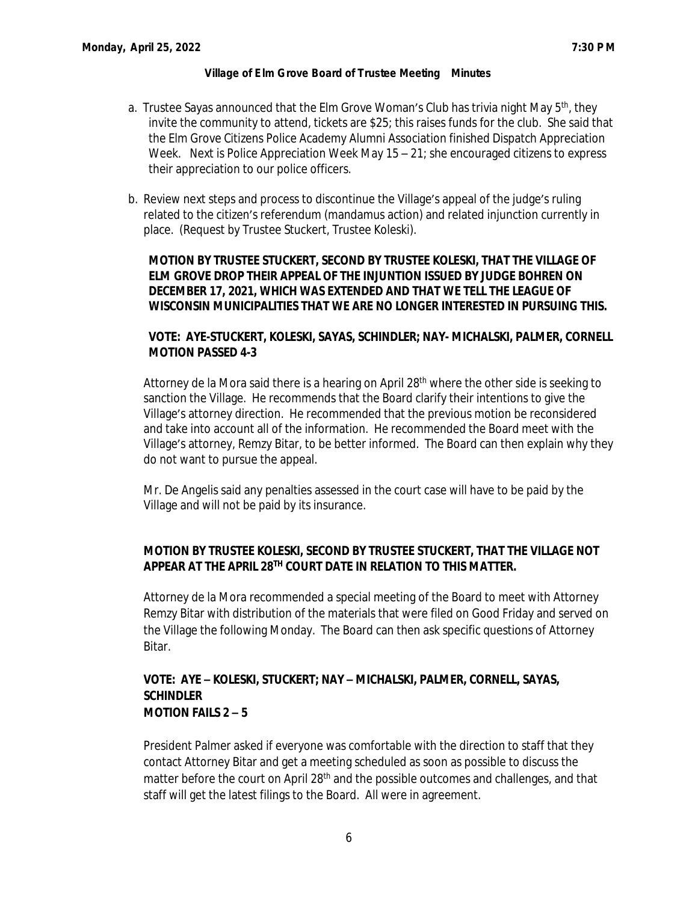- a. Trustee Sayas announced that the Elm Grove Woman's Club has trivia night May 5th, they invite the community to attend, tickets are \$25; this raises funds for the club. She said that the Elm Grove Citizens Police Academy Alumni Association finished Dispatch Appreciation Week. Next is Police Appreciation Week May  $15 - 21$ ; she encouraged citizens to express their appreciation to our police officers.
- b. Review next steps and process to discontinue the Village's appeal of the judge's ruling related to the citizen's referendum (mandamus action) and related injunction currently in place. (Request by Trustee Stuckert, Trustee Koleski).

**MOTION BY TRUSTEE STUCKERT, SECOND BY TRUSTEE KOLESKI, THAT THE VILLAGE OF ELM GROVE DROP THEIR APPEAL OF THE INJUNTION ISSUED BY JUDGE BOHREN ON DECEMBER 17, 2021, WHICH WAS EXTENDED AND THAT WE TELL THE LEAGUE OF WISCONSIN MUNICIPALITIES THAT WE ARE NO LONGER INTERESTED IN PURSUING THIS.**

# **VOTE: AYE-STUCKERT, KOLESKI, SAYAS, SCHINDLER; NAY- MICHALSKI, PALMER, CORNELL MOTION PASSED 4-3**

Attorney de la Mora said there is a hearing on April 28th where the other side is seeking to sanction the Village. He recommends that the Board clarify their intentions to give the Village's attorney direction. He recommended that the previous motion be reconsidered and take into account all of the information. He recommended the Board meet with the Village's attorney, Remzy Bitar, to be better informed. The Board can then explain why they do not want to pursue the appeal.

Mr. De Angelis said any penalties assessed in the court case will have to be paid by the Village and will not be paid by its insurance.

# **MOTION BY TRUSTEE KOLESKI, SECOND BY TRUSTEE STUCKERT, THAT THE VILLAGE NOT APPEAR AT THE APRIL 28TH COURT DATE IN RELATION TO THIS MATTER.**

Attorney de la Mora recommended a special meeting of the Board to meet with Attorney Remzy Bitar with distribution of the materials that were filed on Good Friday and served on the Village the following Monday. The Board can then ask specific questions of Attorney Bitar.

## **VOTE: AYE – KOLESKI, STUCKERT; NAY – MICHALSKI, PALMER, CORNELL, SAYAS, SCHINDLER MOTION FAILS 2 – 5**

President Palmer asked if everyone was comfortable with the direction to staff that they contact Attorney Bitar and get a meeting scheduled as soon as possible to discuss the matter before the court on April 28<sup>th</sup> and the possible outcomes and challenges, and that staff will get the latest filings to the Board. All were in agreement.